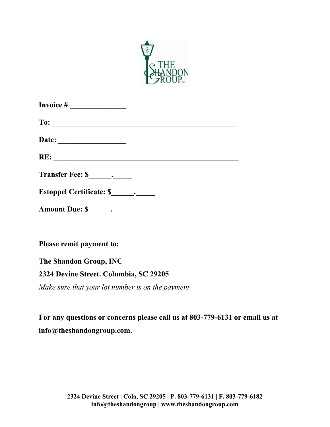

| Transfer Fee: \$ |  |
|------------------|--|
|                  |  |
|                  |  |
|                  |  |

**Please remit payment to:**

**The Shandon Group, INC**

## **2324 Devine Street. Columbia, SC 29205**

*Make sure that your lot number is on the payment*

**For any questions or concerns please call us at 803-779-6131 or email us at [info@theshandongroup.com.](mailto:info@theshandongroup.com)**